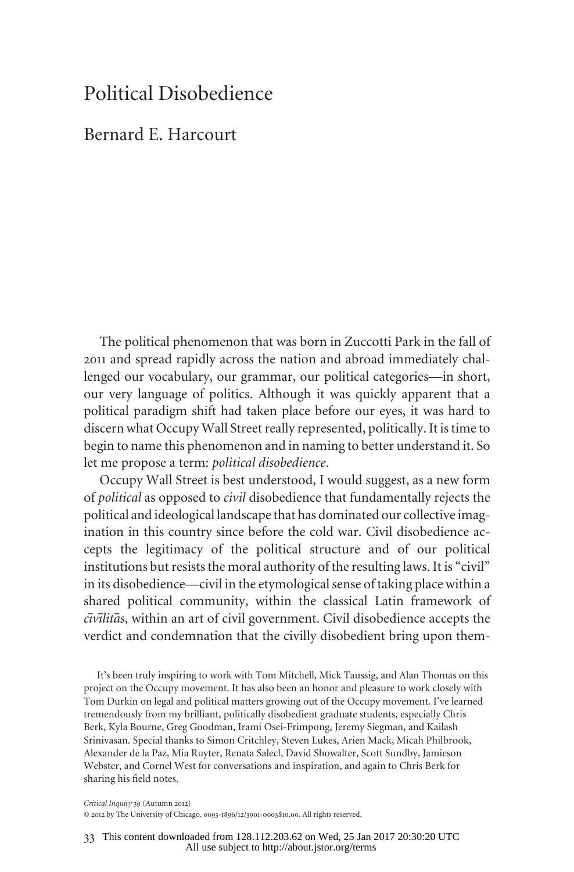# Political Disobedience

# Bernard E. Harcourt

The political phenomenon that was born in Zuccotti Park in the fall of 2011 and spread rapidly across the nation and abroad immediately challenged our vocabulary, our grammar, our political categories—in short, our very language of politics. Although it was quickly apparent that a political paradigm shift had taken place before our eyes, it was hard to discern what Occupy Wall Street really represented, politically. It is time to begin to name this phenomenon and in naming to better understand it. So let me propose a term: *political disobedience*.

Occupy Wall Street is best understood, I would suggest, as a new form of *political* as opposed to *civil* disobedience that fundamentally rejects the political and ideological landscape that has dominated our collective imagination in this country since before the cold war. Civil disobedience accepts the legitimacy of the political structure and of our political institutions but resists the moral authority of the resulting laws. It is "civil" in its disobedience—civil in the etymological sense of taking place within a shared political community, within the classical Latin framework of *cıvılitas*, within an art of civil government. Civil disobedience accepts the verdict and condemnation that the civilly disobedient bring upon them-

It's been truly inspiring to work with Tom Mitchell, Mick Taussig, and Alan Thomas on this project on the Occupy movement. It has also been an honor and pleasure to work closely with Tom Durkin on legal and political matters growing out of the Occupy movement. I've learned tremendously from my brilliant, politically disobedient graduate students, especially Chris Berk, Kyla Bourne, Greg Goodman, Irami Osei-Frimpong, Jeremy Siegman, and Kailash Srinivasan. Special thanks to Simon Critchley, Steven Lukes, Arien Mack, Micah Philbrook, Alexander de la Paz, Mia Ruyter, Renata Salecl, David Showalter, Scott Sundby, Jamieson Webster, and Cornel West for conversations and inspiration, and again to Chris Berk for sharing his field notes.

*Critical Inquiry* 39 (Autumn 2012)

© 2012 by The University of Chicago. 0093-1896/12/3901-0003\$10.00. All rights reserved.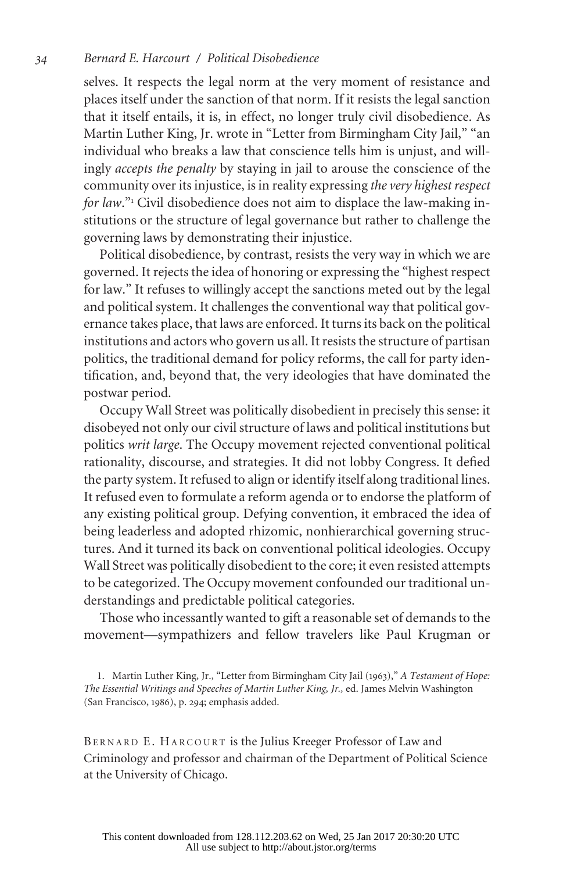selves. It respects the legal norm at the very moment of resistance and places itself under the sanction of that norm. If it resists the legal sanction that it itself entails, it is, in effect, no longer truly civil disobedience. As Martin Luther King, Jr. wrote in "Letter from Birmingham City Jail," "an individual who breaks a law that conscience tells him is unjust, and willingly *accepts the penalty* by staying in jail to arouse the conscience of the community over its injustice, is in reality expressing *the very highest respect for law*."<sup>1</sup> Civil disobedience does not aim to displace the law-making institutions or the structure of legal governance but rather to challenge the governing laws by demonstrating their injustice.

Political disobedience, by contrast, resists the very way in which we are governed. It rejects the idea of honoring or expressing the "highest respect for law." It refuses to willingly accept the sanctions meted out by the legal and political system. It challenges the conventional way that political governance takes place, that laws are enforced. It turns its back on the political institutions and actors who govern us all. It resists the structure of partisan politics, the traditional demand for policy reforms, the call for party identification, and, beyond that, the very ideologies that have dominated the postwar period.

Occupy Wall Street was politically disobedient in precisely this sense: it disobeyed not only our civil structure of laws and political institutions but politics *writ large*. The Occupy movement rejected conventional political rationality, discourse, and strategies. It did not lobby Congress. It defied the party system. It refused to align or identify itself along traditional lines. It refused even to formulate a reform agenda or to endorse the platform of any existing political group. Defying convention, it embraced the idea of being leaderless and adopted rhizomic, nonhierarchical governing structures. And it turned its back on conventional political ideologies. Occupy Wall Street was politically disobedient to the core; it even resisted attempts to be categorized. The Occupy movement confounded our traditional understandings and predictable political categories.

Those who incessantly wanted to gift a reasonable set of demands to the movement—sympathizers and fellow travelers like Paul Krugman or

1. Martin Luther King, Jr., "Letter from Birmingham City Jail (1963)," *A Testament of Hope: The Essential Writings and Speeches of Martin Luther King, Jr.,* ed. James Melvin Washington (San Francisco, 1986), p. 294; emphasis added.

BERNARD E. HARCOURT is the Julius Kreeger Professor of Law and Criminology and professor and chairman of the Department of Political Science at the University of Chicago.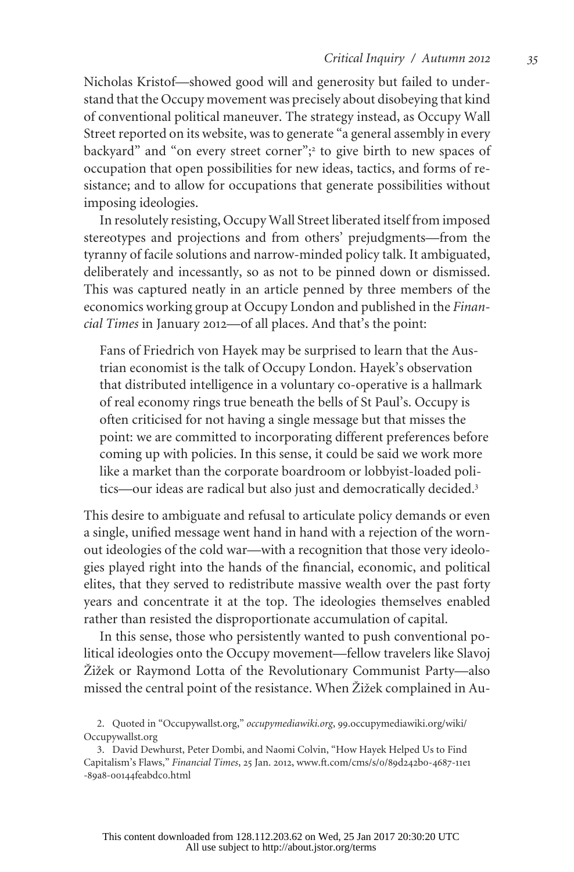Nicholas Kristof—showed good will and generosity but failed to understand that the Occupy movement was precisely about disobeying that kind of conventional political maneuver. The strategy instead, as Occupy Wall Street reported on its website, was to generate "a general assembly in every backyard" and "on every street corner"; to give birth to new spaces of occupation that open possibilities for new ideas, tactics, and forms of resistance; and to allow for occupations that generate possibilities without imposing ideologies.

In resolutely resisting, Occupy Wall Street liberated itself from imposed stereotypes and projections and from others' prejudgments—from the tyranny of facile solutions and narrow-minded policy talk. It ambiguated, deliberately and incessantly, so as not to be pinned down or dismissed. This was captured neatly in an article penned by three members of the economics working group at Occupy London and published in the *Financial Times* in January 2012—of all places. And that's the point:

Fans of Friedrich von Hayek may be surprised to learn that the Austrian economist is the talk of Occupy London. Hayek's observation that distributed intelligence in a voluntary co-operative is a hallmark of real economy rings true beneath the bells of St Paul's. Occupy is often criticised for not having a single message but that misses the point: we are committed to incorporating different preferences before coming up with policies. In this sense, it could be said we work more like a market than the corporate boardroom or lobbyist-loaded politics—our ideas are radical but also just and democratically decided.<sup>3</sup>

This desire to ambiguate and refusal to articulate policy demands or even a single, unified message went hand in hand with a rejection of the wornout ideologies of the cold war—with a recognition that those very ideologies played right into the hands of the financial, economic, and political elites, that they served to redistribute massive wealth over the past forty years and concentrate it at the top. The ideologies themselves enabled rather than resisted the disproportionate accumulation of capital.

In this sense, those who persistently wanted to push conventional political ideologies onto the Occupy movement—fellow travelers like Slavoj Žižek or Raymond Lotta of the Revolutionary Communist Party—also missed the central point of the resistance. When Žižek complained in Au-

<sup>2.</sup> Quoted in "Occupywallst.org," *occupymediawiki.org*, 99.occupymediawiki.org/wiki/ Occupywallst.org

<sup>3.</sup> David Dewhurst, Peter Dombi, and Naomi Colvin, "How Hayek Helped Us to Find Capitalism's Flaws," *Financial Times*, 25 Jan. 2012, www.ft.com/cms/s/0/89d242b0-4687-11e1 -89a8-00144feabdc0.html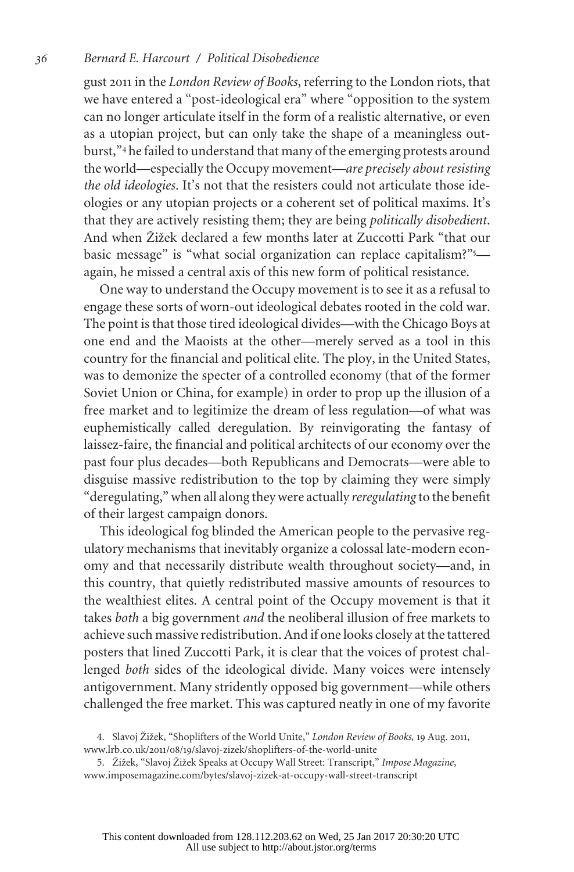gust 2011 in the *London Review of Books*, referring to the London riots, that we have entered a "post-ideological era" where "opposition to the system can no longer articulate itself in the form of a realistic alternative, or even as a utopian project, but can only take the shape of a meaningless outburst,"<sup>4</sup> he failed to understand that many of the emerging protests around the world—especially the Occupy movement—*are precisely about resisting the old ideologies*. It's not that the resisters could not articulate those ideologies or any utopian projects or a coherent set of political maxims. It's that they are actively resisting them; they are being *politically disobedient*. And when Žižek declared a few months later at Zuccotti Park "that our basic message" is "what social organization can replace capitalism?"<sup>5</sup> again, he missed a central axis of this new form of political resistance.

One way to understand the Occupy movement is to see it as a refusal to engage these sorts of worn-out ideological debates rooted in the cold war. The point is that those tired ideological divides—with the Chicago Boys at one end and the Maoists at the other—merely served as a tool in this country for the financial and political elite. The ploy, in the United States, was to demonize the specter of a controlled economy (that of the former Soviet Union or China, for example) in order to prop up the illusion of a free market and to legitimize the dream of less regulation—of what was euphemistically called deregulation. By reinvigorating the fantasy of laissez-faire, the financial and political architects of our economy over the past four plus decades—both Republicans and Democrats—were able to disguise massive redistribution to the top by claiming they were simply "deregulating," when all along they were actually *reregulating* to the benefit of their largest campaign donors.

This ideological fog blinded the American people to the pervasive regulatory mechanisms that inevitably organize a colossal late-modern economy and that necessarily distribute wealth throughout society—and, in this country, that quietly redistributed massive amounts of resources to the wealthiest elites. A central point of the Occupy movement is that it takes *both* a big government *and* the neoliberal illusion of free markets to achieve such massive redistribution. And if one looks closely at the tattered posters that lined Zuccotti Park, it is clear that the voices of protest challenged *both* sides of the ideological divide. Many voices were intensely antigovernment. Many stridently opposed big government—while others challenged the free market. This was captured neatly in one of my favorite

<sup>4.</sup> Slavoj Žižek, "Shoplifters of the World Unite," *London Review of Books,* 19 Aug. 2011, www.lrb.co.uk/2011/08/19/slavoj-zizek/shoplifters-of-the-world-unite

<sup>5.</sup> Žižek, "Slavoj Žižek Speaks at Occupy Wall Street: Transcript," *Impose Magazine*, www.imposemagazine.com/bytes/slavoj-zizek-at-occupy-wall-street-transcript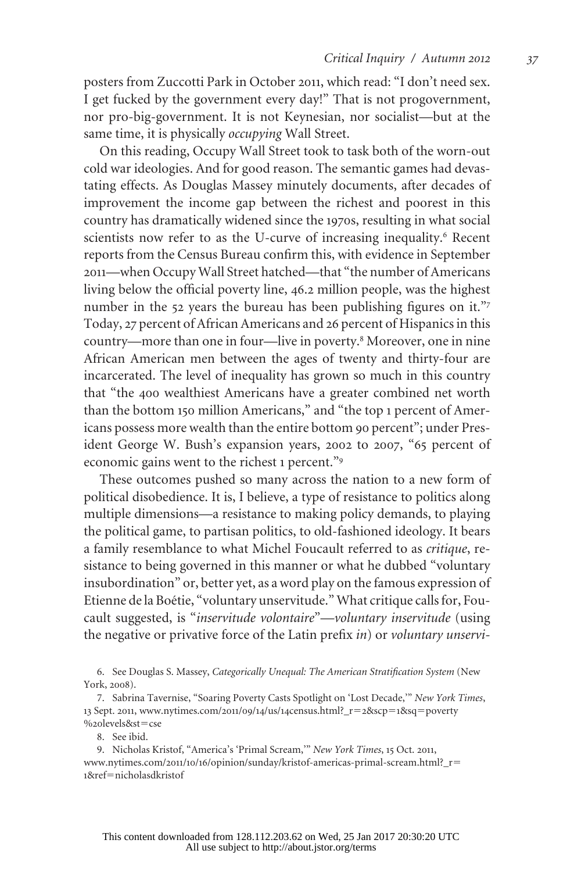posters from Zuccotti Park in October 2011, which read: "I don't need sex. I get fucked by the government every day!" That is not progovernment, nor pro-big-government. It is not Keynesian, nor socialist—but at the same time, it is physically *occupying* Wall Street.

On this reading, Occupy Wall Street took to task both of the worn-out cold war ideologies. And for good reason. The semantic games had devastating effects. As Douglas Massey minutely documents, after decades of improvement the income gap between the richest and poorest in this country has dramatically widened since the 1970s, resulting in what social scientists now refer to as the U-curve of increasing inequality.<sup>6</sup> Recent reports from the Census Bureau confirm this, with evidence in September 2011—when Occupy Wall Street hatched—that "the number of Americans living below the official poverty line, 46.2 million people, was the highest number in the 52 years the bureau has been publishing figures on it."7 Today, 27 percent of African Americans and 26 percent of Hispanics in this country—more than one in four—live in poverty.<sup>8</sup> Moreover, one in nine African American men between the ages of twenty and thirty-four are incarcerated. The level of inequality has grown so much in this country that "the 400 wealthiest Americans have a greater combined net worth than the bottom 150 million Americans," and "the top 1 percent of Americans possess more wealth than the entire bottom 90 percent"; under President George W. Bush's expansion years, 2002 to 2007, "65 percent of economic gains went to the richest 1 percent."<sup>9</sup>

These outcomes pushed so many across the nation to a new form of political disobedience. It is, I believe, a type of resistance to politics along multiple dimensions—a resistance to making policy demands, to playing the political game, to partisan politics, to old-fashioned ideology. It bears a family resemblance to what Michel Foucault referred to as *critique*, resistance to being governed in this manner or what he dubbed "voluntary insubordination" or, better yet, as a word play on the famous expression of Etienne de la Boétie, "voluntary unservitude." What critique calls for, Foucault suggested, is "*inservitude volontaire*"—*voluntary inservitude* (using the negative or privative force of the Latin prefix *in*) or *voluntary unservi-*

6. See Douglas S. Massey, *Categorically Unequal: The American Stratification System* (New York, 2008).

7. Sabrina Tavernise, "Soaring Poverty Casts Spotlight on 'Lost Decade,'" *New York Times*, 13 Sept. 2011, www.nytimes.com/2011/09/14/us/14census.html? $r=2$ &scp=1&sq=poverty %20levels&st=cse

8. See ibid.

9. Nicholas Kristof, "America's 'Primal Scream,'" *New York Times*, 15 Oct. 2011, www.nytimes.com/2011/10/16/opinion/sunday/kristof-americas-primal-scream.html?\_r 1&ref=nicholasdkristof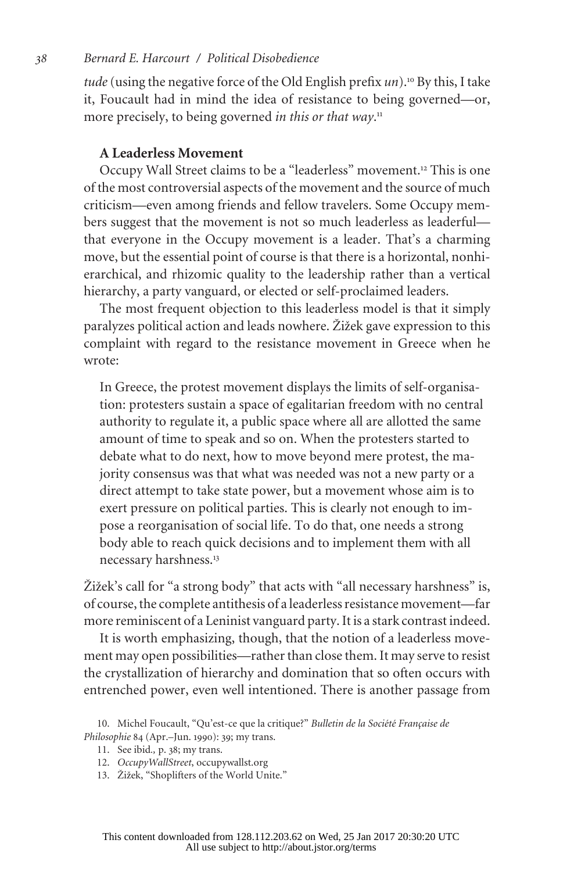*tude*(using the negative force of the Old English prefix *un*).<sup>10</sup> By this, I take it, Foucault had in mind the idea of resistance to being governed—or, more precisely, to being governed *in this or that way*. 11

#### **A Leaderless Movement**

Occupy Wall Street claims to be a "leaderless" movement.<sup>12</sup> This is one of the most controversial aspects of the movement and the source of much criticism—even among friends and fellow travelers. Some Occupy members suggest that the movement is not so much leaderless as leaderful that everyone in the Occupy movement is a leader. That's a charming move, but the essential point of course is that there is a horizontal, nonhierarchical, and rhizomic quality to the leadership rather than a vertical hierarchy, a party vanguard, or elected or self-proclaimed leaders.

The most frequent objection to this leaderless model is that it simply paralyzes political action and leads nowhere. Žižek gave expression to this complaint with regard to the resistance movement in Greece when he wrote:

In Greece, the protest movement displays the limits of self-organisation: protesters sustain a space of egalitarian freedom with no central authority to regulate it, a public space where all are allotted the same amount of time to speak and so on. When the protesters started to debate what to do next, how to move beyond mere protest, the majority consensus was that what was needed was not a new party or a direct attempt to take state power, but a movement whose aim is to exert pressure on political parties. This is clearly not enough to impose a reorganisation of social life. To do that, one needs a strong body able to reach quick decisions and to implement them with all necessary harshness.<sup>13</sup>

Žižek's call for "a strong body" that acts with "all necessary harshness" is, of course, the complete antithesis of a leaderless resistance movement—far more reminiscent of a Leninist vanguard party. It is a stark contrast indeed.

It is worth emphasizing, though, that the notion of a leaderless movement may open possibilities—rather than close them. It may serve to resist the crystallization of hierarchy and domination that so often occurs with entrenched power, even well intentioned. There is another passage from

13. Žižek, "Shoplifters of the World Unite."

<sup>10.</sup> Michel Foucault, "Qu'est-ce que la critique?" *Bulletin de la Société Française de Philosophie* 84 (Apr.–Jun. 1990): 39; my trans.

<sup>11.</sup> See ibid*.,* p. 38; my trans.

<sup>12.</sup> *OccupyWallStreet*, occupywallst.org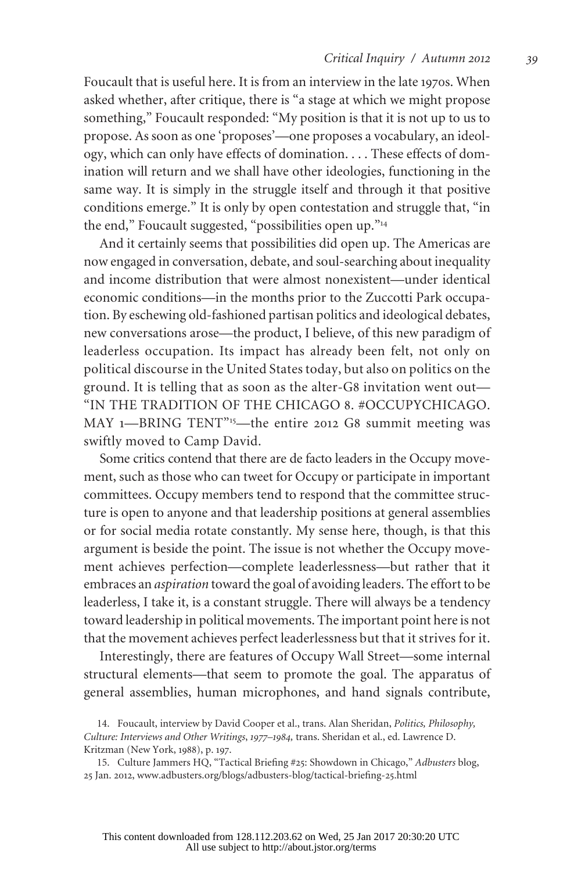Foucault that is useful here. It is from an interview in the late 1970s. When asked whether, after critique, there is "a stage at which we might propose something," Foucault responded: "My position is that it is not up to us to propose. As soon as one 'proposes'—one proposes a vocabulary, an ideology, which can only have effects of domination.... These effects of domination will return and we shall have other ideologies, functioning in the same way. It is simply in the struggle itself and through it that positive conditions emerge." It is only by open contestation and struggle that, "in the end," Foucault suggested, "possibilities open up."<sup>14</sup>

And it certainly seems that possibilities did open up. The Americas are now engaged in conversation, debate, and soul-searching about inequality and income distribution that were almost nonexistent—under identical economic conditions—in the months prior to the Zuccotti Park occupation. By eschewing old-fashioned partisan politics and ideological debates, new conversations arose—the product, I believe, of this new paradigm of leaderless occupation. Its impact has already been felt, not only on political discourse in the United States today, but also on politics on the ground. It is telling that as soon as the alter-G8 invitation went out— "IN THE TRADITION OF THE CHICAGO 8. #OCCUPYCHICAGO. MAY 1—BRING TENT"<sup>15</sup>—the entire 2012 G8 summit meeting was swiftly moved to Camp David.

Some critics contend that there are de facto leaders in the Occupy movement, such as those who can tweet for Occupy or participate in important committees. Occupy members tend to respond that the committee structure is open to anyone and that leadership positions at general assemblies or for social media rotate constantly. My sense here, though, is that this argument is beside the point. The issue is not whether the Occupy movement achieves perfection—complete leaderlessness—but rather that it embraces an *aspiration* toward the goal of avoiding leaders. The effort to be leaderless, I take it, is a constant struggle. There will always be a tendency toward leadership in political movements. The important point here is not that the movement achieves perfect leaderlessness but that it strives for it.

Interestingly, there are features of Occupy Wall Street—some internal structural elements—that seem to promote the goal. The apparatus of general assemblies, human microphones, and hand signals contribute,

<sup>14.</sup> Foucault, interview by David Cooper et al., trans. Alan Sheridan, *Politics, Philosophy, Culture: Interviews and Other Writings*, *1977–1984,* trans. Sheridan et al., ed. Lawrence D. Kritzman (New York, 1988), p. 197.

<sup>15.</sup> Culture Jammers HQ, "Tactical Briefing #25: Showdown in Chicago," *Adbusters* blog, 25 Jan. 2012, www.adbusters.org/blogs/adbusters-blog/tactical-briefing-25.html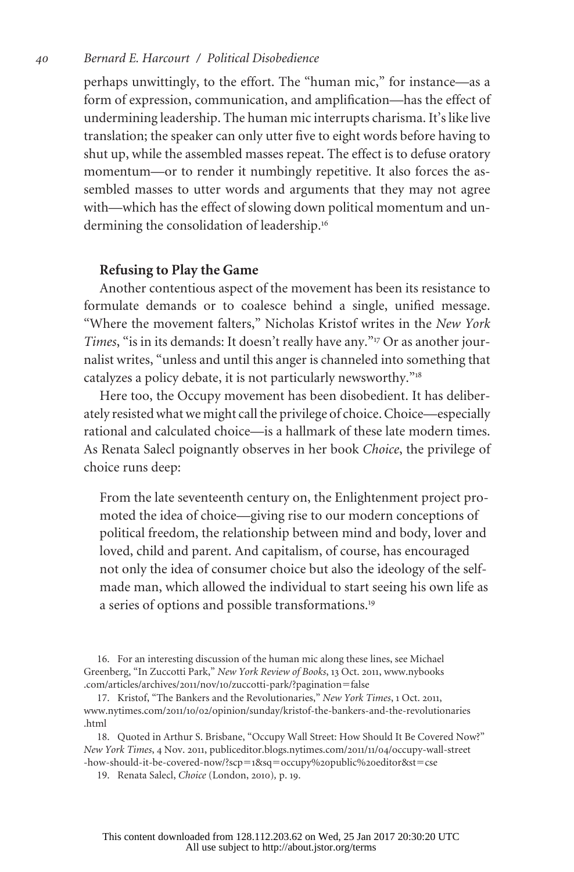perhaps unwittingly, to the effort. The "human mic," for instance—as a form of expression, communication, and amplification—has the effect of undermining leadership. The human mic interrupts charisma. It's like live translation; the speaker can only utter five to eight words before having to shut up, while the assembled masses repeat. The effect is to defuse oratory momentum—or to render it numbingly repetitive. It also forces the assembled masses to utter words and arguments that they may not agree with—which has the effect of slowing down political momentum and undermining the consolidation of leadership.<sup>16</sup>

### **Refusing to Play the Game**

Another contentious aspect of the movement has been its resistance to formulate demands or to coalesce behind a single, unified message. "Where the movement falters," Nicholas Kristof writes in the *New York Times*, "is in its demands: It doesn't really have any."<sup>17</sup> Or as another journalist writes, "unless and until this anger is channeled into something that catalyzes a policy debate, it is not particularly newsworthy."<sup>18</sup>

Here too, the Occupy movement has been disobedient. It has deliberately resisted what we might call the privilege of choice. Choice—especially rational and calculated choice—is a hallmark of these late modern times. As Renata Salecl poignantly observes in her book *Choice*, the privilege of choice runs deep:

From the late seventeenth century on, the Enlightenment project promoted the idea of choice—giving rise to our modern conceptions of political freedom, the relationship between mind and body, lover and loved, child and parent. And capitalism, of course, has encouraged not only the idea of consumer choice but also the ideology of the selfmade man, which allowed the individual to start seeing his own life as a series of options and possible transformations.<sup>19</sup>

16. For an interesting discussion of the human mic along these lines, see Michael Greenberg, "In Zuccotti Park," *New York Review of Books*, 13 Oct. 2011, www.nybooks .com/articles/archives/2011/nov/10/zuccotti-park/?pagination=false

17. Kristof, "The Bankers and the Revolutionaries," *New York Times*, 1 Oct. 2011, www.nytimes.com/2011/10/02/opinion/sunday/kristof-the-bankers-and-the-revolutionaries .html

18. Quoted in Arthur S. Brisbane, "Occupy Wall Street: How Should It Be Covered Now?" *New York Times*, 4 Nov. 2011, publiceditor.blogs.nytimes.com/2011/11/04/occupy-wall-street -how-should-it-be-covered-now/?scp=1&sq=occupy%20public%20editor&st=cse

19. Renata Salecl, *Choice* (London, 2010)*,* p. 19.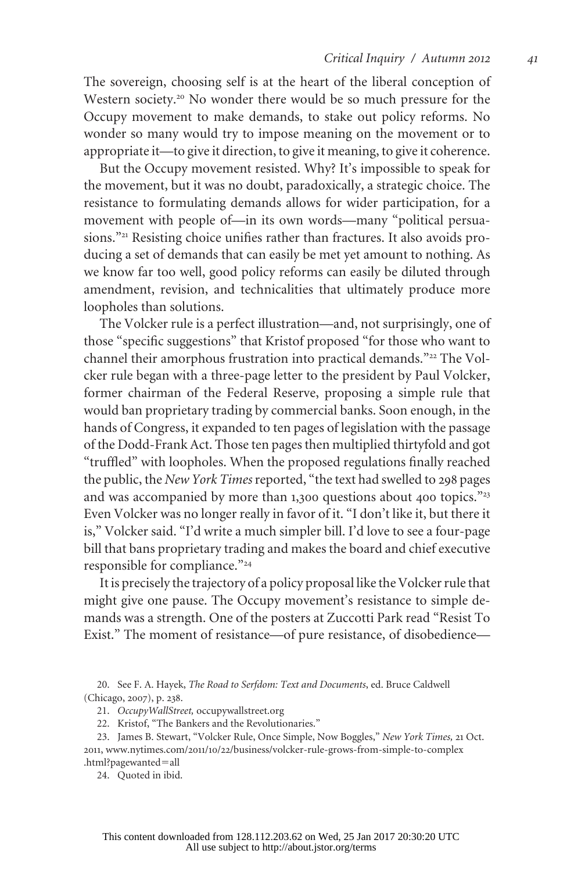The sovereign, choosing self is at the heart of the liberal conception of Western society.<sup>20</sup> No wonder there would be so much pressure for the Occupy movement to make demands, to stake out policy reforms. No wonder so many would try to impose meaning on the movement or to appropriate it—to give it direction, to give it meaning, to give it coherence.

But the Occupy movement resisted. Why? It's impossible to speak for the movement, but it was no doubt, paradoxically, a strategic choice. The resistance to formulating demands allows for wider participation, for a movement with people of—in its own words—many "political persuasions."<sup>21</sup> Resisting choice unifies rather than fractures. It also avoids producing a set of demands that can easily be met yet amount to nothing. As we know far too well, good policy reforms can easily be diluted through amendment, revision, and technicalities that ultimately produce more loopholes than solutions.

The Volcker rule is a perfect illustration—and, not surprisingly, one of those "specific suggestions" that Kristof proposed "for those who want to channel their amorphous frustration into practical demands."<sup>22</sup> The Volcker rule began with a three-page letter to the president by Paul Volcker, former chairman of the Federal Reserve, proposing a simple rule that would ban proprietary trading by commercial banks. Soon enough, in the hands of Congress, it expanded to ten pages of legislation with the passage of the Dodd-Frank Act. Those ten pages then multiplied thirtyfold and got "truffled" with loopholes. When the proposed regulations finally reached the public, the *New York Times*reported, "the text had swelled to 298 pages and was accompanied by more than 1,300 questions about 400 topics."<sup>23</sup> Even Volcker was no longer really in favor of it. "I don't like it, but there it is," Volcker said. "I'd write a much simpler bill. I'd love to see a four-page bill that bans proprietary trading and makes the board and chief executive responsible for compliance."<sup>24</sup>

It is precisely the trajectory of a policy proposal like the Volcker rule that might give one pause. The Occupy movement's resistance to simple demands was a strength. One of the posters at Zuccotti Park read "Resist To Exist." The moment of resistance—of pure resistance, of disobedience—

20. See F. A. Hayek, *The Road to Serfdom: Text and Documents*, ed. Bruce Caldwell (Chicago, 2007), p. 238.

- 21. *OccupyWallStreet,* occupywallstreet.org
- 22. Kristof, "The Bankers and the Revolutionaries."

23. James B. Stewart, "Volcker Rule, Once Simple, Now Boggles," *New York Times,* 21 Oct. 2011, www.nytimes.com/2011/10/22/business/volcker-rule-grows-from-simple-to-complex .html?pagewanted=all

24. Quoted in ibid.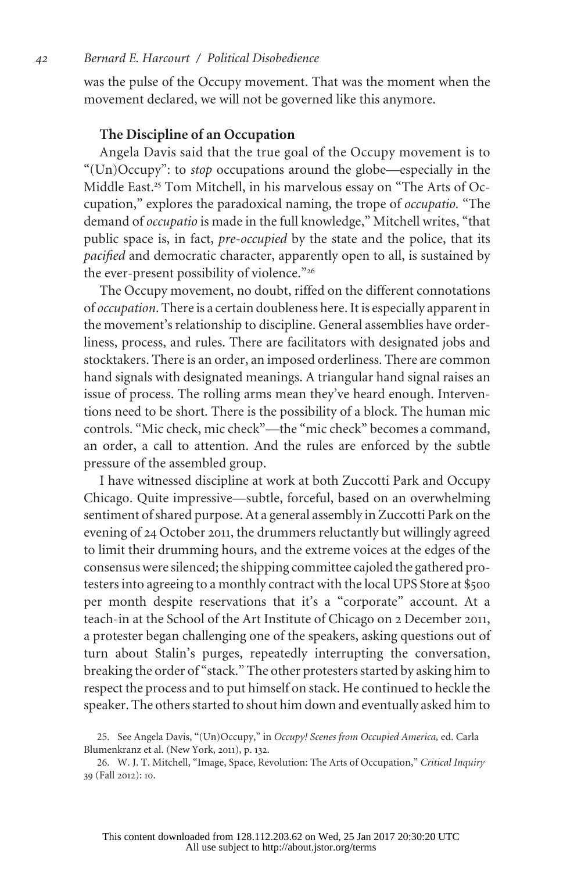was the pulse of the Occupy movement. That was the moment when the movement declared, we will not be governed like this anymore.

# **The Discipline of an Occupation**

Angela Davis said that the true goal of the Occupy movement is to "(Un)Occupy": to *stop* occupations around the globe—especially in the Middle East.<sup>25</sup> Tom Mitchell, in his marvelous essay on "The Arts of Occupation," explores the paradoxical naming, the trope of *occupatio.* "The demand of *occupatio* is made in the full knowledge," Mitchell writes, "that public space is, in fact, *pre-occupied* by the state and the police, that its *pacified* and democratic character, apparently open to all, is sustained by the ever-present possibility of violence."26

The Occupy movement, no doubt, riffed on the different connotations of *occupation*. There is a certain doubleness here. It is especially apparent in the movement's relationship to discipline. General assemblies have orderliness, process, and rules. There are facilitators with designated jobs and stocktakers. There is an order, an imposed orderliness. There are common hand signals with designated meanings. A triangular hand signal raises an issue of process. The rolling arms mean they've heard enough. Interventions need to be short. There is the possibility of a block. The human mic controls. "Mic check, mic check"—the "mic check" becomes a command, an order, a call to attention. And the rules are enforced by the subtle pressure of the assembled group.

I have witnessed discipline at work at both Zuccotti Park and Occupy Chicago. Quite impressive—subtle, forceful, based on an overwhelming sentiment of shared purpose. At a general assembly in Zuccotti Park on the evening of 24 October 2011, the drummers reluctantly but willingly agreed to limit their drumming hours, and the extreme voices at the edges of the consensus were silenced; the shipping committee cajoled the gathered protesters into agreeing to a monthly contract with the local UPS Store at \$500 per month despite reservations that it's a "corporate" account. At a teach-in at the School of the Art Institute of Chicago on 2 December 2011, a protester began challenging one of the speakers, asking questions out of turn about Stalin's purges, repeatedly interrupting the conversation, breaking the order of "stack." The other protesters started by asking him to respect the process and to put himself on stack. He continued to heckle the speaker. The others started to shout him down and eventually asked him to

<sup>25.</sup> See Angela Davis, "(Un)Occupy," in *Occupy! Scenes from Occupied America,* ed. Carla Blumenkranz et al. (New York, 2011), p. 132.

<sup>26.</sup> W. J. T. Mitchell, "Image, Space, Revolution: The Arts of Occupation," *Critical Inquiry* 39 (Fall 2012): 10.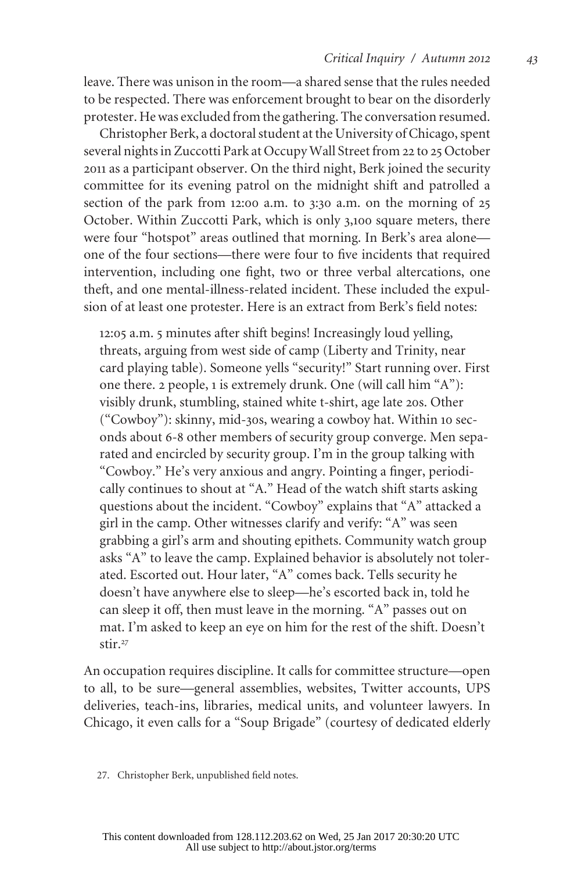leave. There was unison in the room—a shared sense that the rules needed to be respected. There was enforcement brought to bear on the disorderly protester. He was excluded from the gathering. The conversation resumed.

Christopher Berk, a doctoral student at the University of Chicago, spent several nights in Zuccotti Park at Occupy Wall Street from 22 to 25 October 2011 as a participant observer. On the third night, Berk joined the security committee for its evening patrol on the midnight shift and patrolled a section of the park from 12:00 a.m. to 3:30 a.m. on the morning of 25 October. Within Zuccotti Park, which is only 3,100 square meters, there were four "hotspot" areas outlined that morning. In Berk's area alone one of the four sections—there were four to five incidents that required intervention, including one fight, two or three verbal altercations, one theft, and one mental-illness-related incident. These included the expulsion of at least one protester. Here is an extract from Berk's field notes:

12:05 a.m. 5 minutes after shift begins! Increasingly loud yelling, threats, arguing from west side of camp (Liberty and Trinity, near card playing table). Someone yells "security!" Start running over. First one there. 2 people, 1 is extremely drunk. One (will call him "A"): visibly drunk, stumbling, stained white t-shirt, age late 20s. Other ("Cowboy"): skinny, mid-30s, wearing a cowboy hat. Within 10 seconds about 6-8 other members of security group converge. Men separated and encircled by security group. I'm in the group talking with "Cowboy." He's very anxious and angry. Pointing a finger, periodically continues to shout at "A." Head of the watch shift starts asking questions about the incident. "Cowboy" explains that "A" attacked a girl in the camp. Other witnesses clarify and verify: "A" was seen grabbing a girl's arm and shouting epithets. Community watch group asks "A" to leave the camp. Explained behavior is absolutely not tolerated. Escorted out. Hour later, "A" comes back. Tells security he doesn't have anywhere else to sleep—he's escorted back in, told he can sleep it off, then must leave in the morning. "A" passes out on mat. I'm asked to keep an eye on him for the rest of the shift. Doesn't stir.<sup>27</sup>

An occupation requires discipline. It calls for committee structure—open to all, to be sure—general assemblies, websites, Twitter accounts, UPS deliveries, teach-ins, libraries, medical units, and volunteer lawyers. In Chicago, it even calls for a "Soup Brigade" (courtesy of dedicated elderly

<sup>27.</sup> Christopher Berk, unpublished field notes.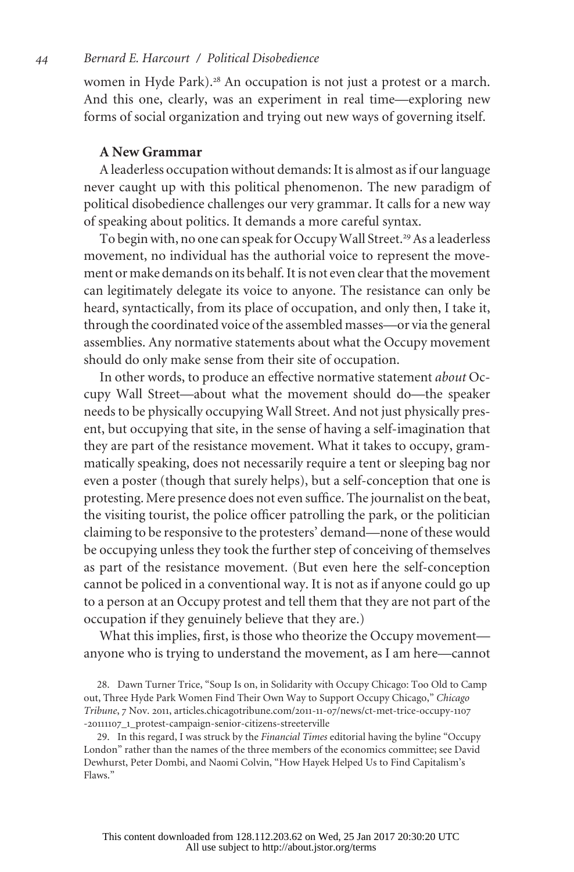women in Hyde Park).<sup>28</sup> An occupation is not just a protest or a march. And this one, clearly, was an experiment in real time—exploring new forms of social organization and trying out new ways of governing itself.

# **A New Grammar**

A leaderless occupation without demands: It is almost as if our language never caught up with this political phenomenon. The new paradigm of political disobedience challenges our very grammar. It calls for a new way of speaking about politics. It demands a more careful syntax.

To begin with, no one can speak for Occupy Wall Street.<sup>29</sup> As a leaderless movement, no individual has the authorial voice to represent the movement or make demands on its behalf. It is not even clear that the movement can legitimately delegate its voice to anyone. The resistance can only be heard, syntactically, from its place of occupation, and only then, I take it, through the coordinated voice of the assembled masses—or via the general assemblies. Any normative statements about what the Occupy movement should do only make sense from their site of occupation.

In other words, to produce an effective normative statement *about* Occupy Wall Street—about what the movement should do—the speaker needs to be physically occupying Wall Street. And not just physically present, but occupying that site, in the sense of having a self-imagination that they are part of the resistance movement. What it takes to occupy, grammatically speaking, does not necessarily require a tent or sleeping bag nor even a poster (though that surely helps), but a self-conception that one is protesting. Mere presence does not even suffice. The journalist on the beat, the visiting tourist, the police officer patrolling the park, or the politician claiming to be responsive to the protesters' demand—none of these would be occupying unless they took the further step of conceiving of themselves as part of the resistance movement. (But even here the self-conception cannot be policed in a conventional way. It is not as if anyone could go up to a person at an Occupy protest and tell them that they are not part of the occupation if they genuinely believe that they are.)

What this implies, first, is those who theorize the Occupy movement anyone who is trying to understand the movement, as I am here—cannot

28. Dawn Turner Trice, "Soup Is on, in Solidarity with Occupy Chicago: Too Old to Camp out, Three Hyde Park Women Find Their Own Way to Support Occupy Chicago," *Chicago Tribune*, 7 Nov. 2011, articles.chicagotribune.com/2011-11-07/news/ct-met-trice-occupy-1107 -20111107\_1\_protest-campaign-senior-citizens-streeterville

29. In this regard, I was struck by the *Financial Times* editorial having the byline "Occupy London" rather than the names of the three members of the economics committee; see David Dewhurst, Peter Dombi, and Naomi Colvin, "How Hayek Helped Us to Find Capitalism's Flaws."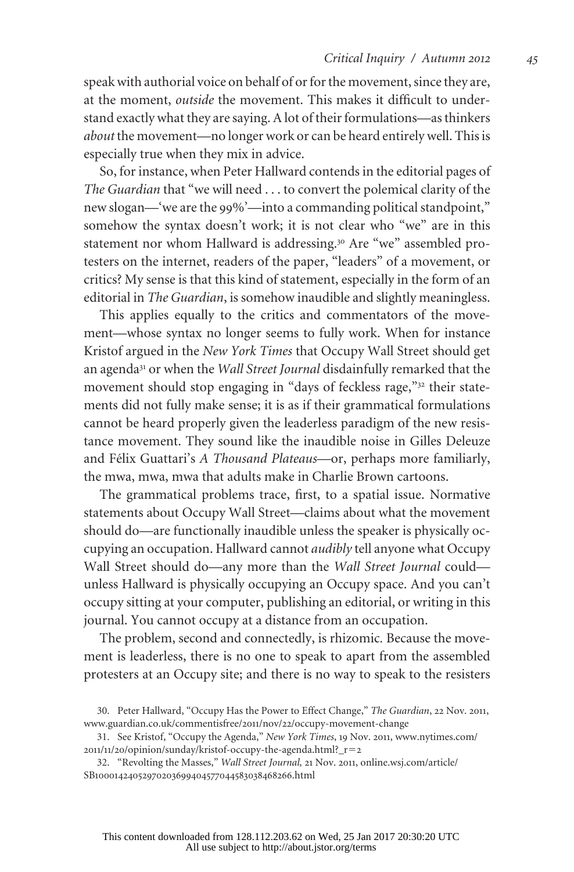speak with authorial voice on behalf of or for the movement, since they are, at the moment, *outside* the movement. This makes it difficult to understand exactly what they are saying. A lot of their formulations—as thinkers *about* the movement—no longer work or can be heard entirely well. This is especially true when they mix in advice.

So, for instance, when Peter Hallward contends in the editorial pages of *The Guardian* that "we will need . . . to convert the polemical clarity of the new slogan—'we are the 99%'—into a commanding political standpoint," somehow the syntax doesn't work; it is not clear who "we" are in this statement nor whom Hallward is addressing.<sup>30</sup> Are "we" assembled protesters on the internet, readers of the paper, "leaders" of a movement, or critics? My sense is that this kind of statement, especially in the form of an editorial in *The Guardian*, is somehow inaudible and slightly meaningless.

This applies equally to the critics and commentators of the movement—whose syntax no longer seems to fully work. When for instance Kristof argued in the *New York Times* that Occupy Wall Street should get an agenda<sup>31</sup> or when the *Wall Street Journal* disdainfully remarked that the movement should stop engaging in "days of feckless rage,"<sup>32</sup> their statements did not fully make sense; it is as if their grammatical formulations cannot be heard properly given the leaderless paradigm of the new resistance movement. They sound like the inaudible noise in Gilles Deleuze and Félix Guattari's *A Thousand Plateaus*—or, perhaps more familiarly, the mwa, mwa, mwa that adults make in Charlie Brown cartoons.

The grammatical problems trace, first, to a spatial issue. Normative statements about Occupy Wall Street—claims about what the movement should do—are functionally inaudible unless the speaker is physically occupying an occupation. Hallward cannot *audibly* tell anyone what Occupy Wall Street should do—any more than the *Wall Street Journal* could unless Hallward is physically occupying an Occupy space. And you can't occupy sitting at your computer, publishing an editorial, or writing in this journal. You cannot occupy at a distance from an occupation.

The problem, second and connectedly, is rhizomic*.* Because the movement is leaderless, there is no one to speak to apart from the assembled protesters at an Occupy site; and there is no way to speak to the resisters

<sup>30.</sup> Peter Hallward, "Occupy Has the Power to Effect Change," *The Guardian*, 22 Nov. 2011, www.guardian.co.uk/commentisfree/2011/nov/22/occupy-movement-change

<sup>31.</sup> See Kristof, "Occupy the Agenda," *New York Times*, 19 Nov. 2011, www.nytimes.com/  $2011/11/20/$ opinion/sunday/kristof-occupy-the-agenda.html?  $r=2$ 

<sup>32. &</sup>quot;Revolting the Masses," *Wall Street Journal,* 21 Nov. 2011, online.wsj.com/article/ SB10001424052970203699404577044583038468266.html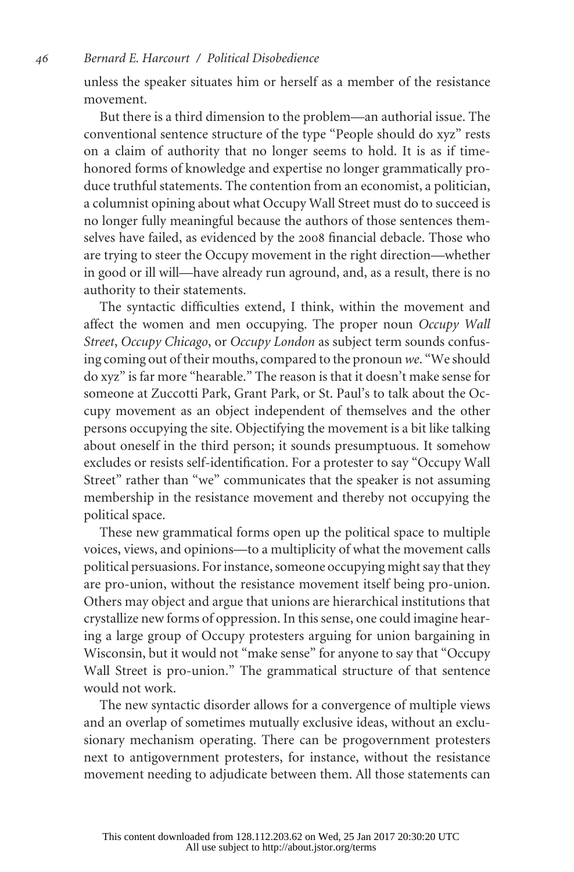unless the speaker situates him or herself as a member of the resistance movement.

But there is a third dimension to the problem—an authorial issue. The conventional sentence structure of the type "People should do xyz" rests on a claim of authority that no longer seems to hold. It is as if timehonored forms of knowledge and expertise no longer grammatically produce truthful statements. The contention from an economist, a politician, a columnist opining about what Occupy Wall Street must do to succeed is no longer fully meaningful because the authors of those sentences themselves have failed, as evidenced by the 2008 financial debacle. Those who are trying to steer the Occupy movement in the right direction—whether in good or ill will—have already run aground, and, as a result, there is no authority to their statements.

The syntactic difficulties extend, I think, within the movement and affect the women and men occupying. The proper noun *Occupy Wall Street*, *Occupy Chicago*, or *Occupy London* as subject term sounds confusing coming out of their mouths, compared to the pronoun*we*. "We should do xyz" is far more "hearable." The reason is that it doesn't make sense for someone at Zuccotti Park, Grant Park, or St. Paul's to talk about the Occupy movement as an object independent of themselves and the other persons occupying the site. Objectifying the movement is a bit like talking about oneself in the third person; it sounds presumptuous. It somehow excludes or resists self-identification. For a protester to say "Occupy Wall Street" rather than "we" communicates that the speaker is not assuming membership in the resistance movement and thereby not occupying the political space.

These new grammatical forms open up the political space to multiple voices, views, and opinions—to a multiplicity of what the movement calls political persuasions. For instance, someone occupying might say that they are pro-union, without the resistance movement itself being pro-union. Others may object and argue that unions are hierarchical institutions that crystallize new forms of oppression. In this sense, one could imagine hearing a large group of Occupy protesters arguing for union bargaining in Wisconsin, but it would not "make sense" for anyone to say that "Occupy Wall Street is pro-union." The grammatical structure of that sentence would not work.

The new syntactic disorder allows for a convergence of multiple views and an overlap of sometimes mutually exclusive ideas, without an exclusionary mechanism operating. There can be progovernment protesters next to antigovernment protesters, for instance, without the resistance movement needing to adjudicate between them. All those statements can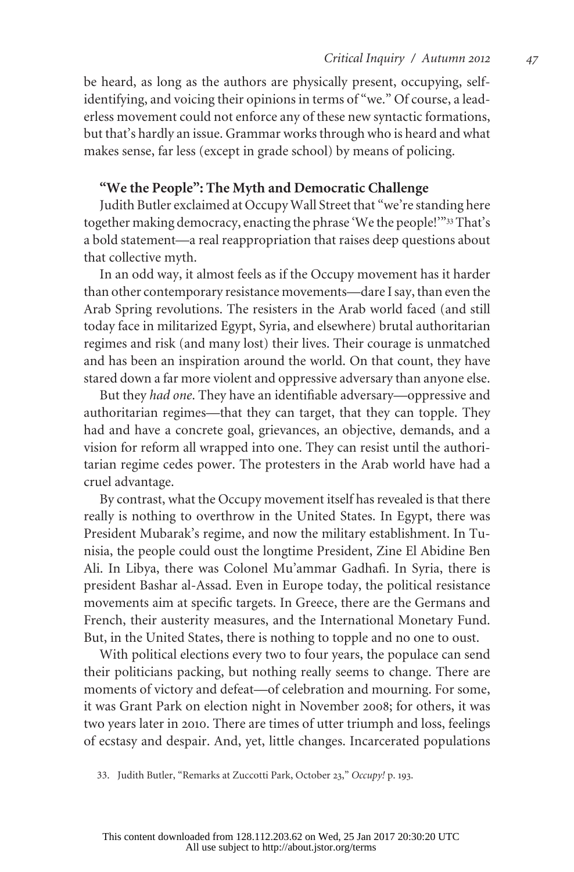be heard, as long as the authors are physically present, occupying, selfidentifying, and voicing their opinions in terms of "we." Of course, a leaderless movement could not enforce any of these new syntactic formations, but that's hardly an issue. Grammar works through who is heard and what makes sense, far less (except in grade school) by means of policing.

# **"We the People": The Myth and Democratic Challenge**

Judith Butler exclaimed at Occupy Wall Street that "we're standing here together making democracy, enacting the phrase 'We the people!'"<sup>33</sup> That's a bold statement—a real reappropriation that raises deep questions about that collective myth.

In an odd way, it almost feels as if the Occupy movement has it harder than other contemporary resistance movements—dare I say, than even the Arab Spring revolutions. The resisters in the Arab world faced (and still today face in militarized Egypt, Syria, and elsewhere) brutal authoritarian regimes and risk (and many lost) their lives. Their courage is unmatched and has been an inspiration around the world. On that count, they have stared down a far more violent and oppressive adversary than anyone else.

But they *had one*. They have an identifiable adversary—oppressive and authoritarian regimes—that they can target, that they can topple. They had and have a concrete goal, grievances, an objective, demands, and a vision for reform all wrapped into one. They can resist until the authoritarian regime cedes power. The protesters in the Arab world have had a cruel advantage.

By contrast, what the Occupy movement itself has revealed is that there really is nothing to overthrow in the United States. In Egypt, there was President Mubarak's regime, and now the military establishment. In Tunisia, the people could oust the longtime President, Zine El Abidine Ben Ali. In Libya, there was Colonel Mu'ammar Gadhafi. In Syria, there is president Bashar al-Assad. Even in Europe today, the political resistance movements aim at specific targets. In Greece, there are the Germans and French, their austerity measures, and the International Monetary Fund. But, in the United States, there is nothing to topple and no one to oust.

With political elections every two to four years, the populace can send their politicians packing, but nothing really seems to change. There are moments of victory and defeat—of celebration and mourning. For some, it was Grant Park on election night in November 2008; for others, it was two years later in 2010. There are times of utter triumph and loss, feelings of ecstasy and despair. And, yet, little changes. Incarcerated populations

33. Judith Butler, "Remarks at Zuccotti Park, October 23," *Occupy!* p. 193.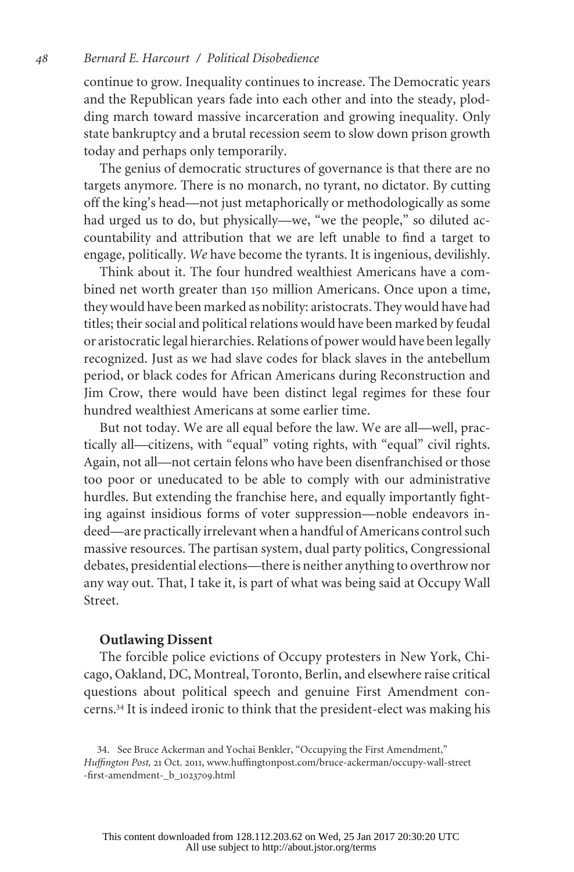continue to grow. Inequality continues to increase. The Democratic years and the Republican years fade into each other and into the steady, plodding march toward massive incarceration and growing inequality. Only state bankruptcy and a brutal recession seem to slow down prison growth today and perhaps only temporarily.

The genius of democratic structures of governance is that there are no targets anymore. There is no monarch, no tyrant, no dictator. By cutting off the king's head—not just metaphorically or methodologically as some had urged us to do, but physically—we, "we the people," so diluted accountability and attribution that we are left unable to find a target to engage, politically. *We* have become the tyrants. It is ingenious, devilishly.

Think about it. The four hundred wealthiest Americans have a combined net worth greater than 150 million Americans. Once upon a time, they would have been marked as nobility: aristocrats. They would have had titles; their social and political relations would have been marked by feudal or aristocratic legal hierarchies. Relations of power would have been legally recognized. Just as we had slave codes for black slaves in the antebellum period, or black codes for African Americans during Reconstruction and Jim Crow, there would have been distinct legal regimes for these four hundred wealthiest Americans at some earlier time.

But not today. We are all equal before the law. We are all—well, practically all—citizens, with "equal" voting rights, with "equal" civil rights. Again, not all—not certain felons who have been disenfranchised or those too poor or uneducated to be able to comply with our administrative hurdles. But extending the franchise here, and equally importantly fighting against insidious forms of voter suppression—noble endeavors indeed—are practically irrelevant when a handful of Americans control such massive resources. The partisan system, dual party politics, Congressional debates, presidential elections—there is neither anything to overthrow nor any way out. That, I take it, is part of what was being said at Occupy Wall Street.

#### **Outlawing Dissent**

The forcible police evictions of Occupy protesters in New York, Chicago, Oakland, DC, Montreal, Toronto, Berlin, and elsewhere raise critical questions about political speech and genuine First Amendment concerns.<sup>34</sup> It is indeed ironic to think that the president-elect was making his

<sup>34.</sup> See Bruce Ackerman and Yochai Benkler, "Occupying the First Amendment," *Huffington Post,* 21 Oct. 2011, www.huffingtonpost.com/bruce-ackerman/occupy-wall-street -first-amendment-\_b\_1023709.html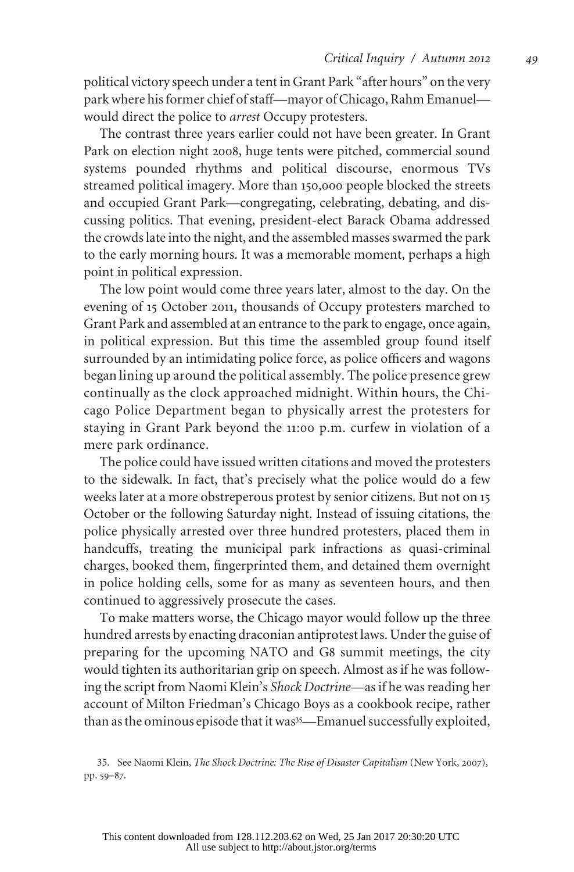political victory speech under a tent in Grant Park "after hours" on the very park where his former chief of staff—mayor of Chicago, Rahm Emanuel would direct the police to *arrest* Occupy protesters.

The contrast three years earlier could not have been greater. In Grant Park on election night 2008, huge tents were pitched, commercial sound systems pounded rhythms and political discourse, enormous TVs streamed political imagery. More than 150,000 people blocked the streets and occupied Grant Park—congregating, celebrating, debating, and discussing politics. That evening, president-elect Barack Obama addressed the crowds late into the night, and the assembled masses swarmed the park to the early morning hours. It was a memorable moment, perhaps a high point in political expression.

The low point would come three years later, almost to the day. On the evening of 15 October 2011, thousands of Occupy protesters marched to Grant Park and assembled at an entrance to the park to engage, once again, in political expression. But this time the assembled group found itself surrounded by an intimidating police force, as police officers and wagons began lining up around the political assembly. The police presence grew continually as the clock approached midnight. Within hours, the Chicago Police Department began to physically arrest the protesters for staying in Grant Park beyond the 11:00 p.m. curfew in violation of a mere park ordinance.

The police could have issued written citations and moved the protesters to the sidewalk. In fact, that's precisely what the police would do a few weeks later at a more obstreperous protest by senior citizens. But not on 15 October or the following Saturday night. Instead of issuing citations, the police physically arrested over three hundred protesters, placed them in handcuffs, treating the municipal park infractions as quasi-criminal charges, booked them, fingerprinted them, and detained them overnight in police holding cells, some for as many as seventeen hours, and then continued to aggressively prosecute the cases.

To make matters worse, the Chicago mayor would follow up the three hundred arrests by enacting draconian antiprotest laws. Under the guise of preparing for the upcoming NATO and G8 summit meetings, the city would tighten its authoritarian grip on speech. Almost as if he was following the script from Naomi Klein's *Shock Doctrine*—as if he was reading her account of Milton Friedman's Chicago Boys as a cookbook recipe, rather than as the ominous episode that it was<sup>35</sup>—Emanuel successfully exploited,

<sup>35.</sup> See Naomi Klein, *The Shock Doctrine: The Rise of Disaster Capitalism* (New York, 2007), pp. 59–87.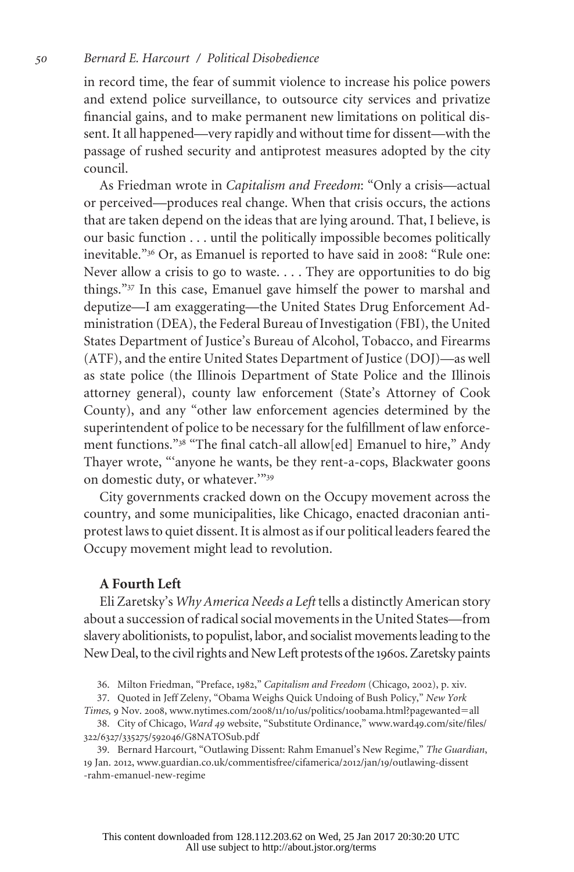in record time, the fear of summit violence to increase his police powers and extend police surveillance, to outsource city services and privatize financial gains, and to make permanent new limitations on political dissent. It all happened—very rapidly and without time for dissent—with the passage of rushed security and antiprotest measures adopted by the city council.

As Friedman wrote in *Capitalism and Freedom*: "Only a crisis—actual or perceived—produces real change. When that crisis occurs, the actions that are taken depend on the ideas that are lying around. That, I believe, is our basic function... until the politically impossible becomes politically inevitable."<sup>36</sup> Or, as Emanuel is reported to have said in 2008: "Rule one: Never allow a crisis to go to waste.... They are opportunities to do big things."<sup>37</sup> In this case, Emanuel gave himself the power to marshal and deputize—I am exaggerating—the United States Drug Enforcement Administration (DEA), the Federal Bureau of Investigation (FBI), the United States Department of Justice's Bureau of Alcohol, Tobacco, and Firearms (ATF), and the entire United States Department of Justice (DOJ)—as well as state police (the Illinois Department of State Police and the Illinois attorney general), county law enforcement (State's Attorney of Cook County), and any "other law enforcement agencies determined by the superintendent of police to be necessary for the fulfillment of law enforcement functions."<sup>38</sup> "The final catch-all allow[ed] Emanuel to hire," Andy Thayer wrote, "'anyone he wants, be they rent-a-cops, Blackwater goons on domestic duty, or whatever.'"<sup>39</sup>

City governments cracked down on the Occupy movement across the country, and some municipalities, like Chicago, enacted draconian antiprotest laws to quiet dissent. It is almost as if our political leaders feared the Occupy movement might lead to revolution.

#### **A Fourth Left**

Eli Zaretsky's *Why America Needs a Left* tells a distinctly American story about a succession of radical social movements in the United States—from slavery abolitionists, to populist, labor, and socialist movements leading to the New Deal, to the civil rights and New Left protests of the 1960s. Zaretsky paints

36. Milton Friedman, "Preface, 1982," *Capitalism and Freedom* (Chicago, 2002), p. xiv.

37. Quoted in Jeff Zeleny, "Obama Weighs Quick Undoing of Bush Policy," *New York Times*, 9 Nov. 2008, www.nytimes.com/2008/11/10/us/politics/100bama.html?pagewanted=all

38. City of Chicago, *Ward 49* website, "Substitute Ordinance," www.ward49.com/site/files/ 322/6327/335275/592046/G8NATOSub.pdf

39. Bernard Harcourt, "Outlawing Dissent: Rahm Emanuel's New Regime," *The Guardian*, 19 Jan. 2012, www.guardian.co.uk/commentisfree/cifamerica/2012/jan/19/outlawing-dissent -rahm-emanuel-new-regime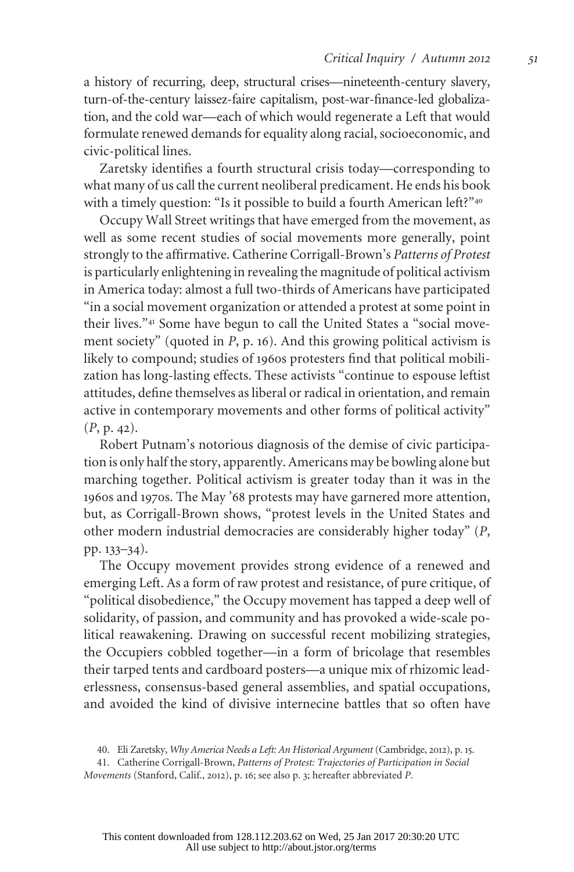a history of recurring, deep, structural crises—nineteenth-century slavery, turn-of-the-century laissez-faire capitalism, post-war-finance-led globalization, and the cold war—each of which would regenerate a Left that would formulate renewed demands for equality along racial, socioeconomic, and civic-political lines.

Zaretsky identifies a fourth structural crisis today—corresponding to what many of us call the current neoliberal predicament. He ends his book with a timely question: "Is it possible to build a fourth American left?"<sup>40</sup>

Occupy Wall Street writings that have emerged from the movement, as well as some recent studies of social movements more generally, point strongly to the affirmative. Catherine Corrigall-Brown's *Patterns of Protest* is particularly enlightening in revealing the magnitude of political activism in America today: almost a full two-thirds of Americans have participated "in a social movement organization or attended a protest at some point in their lives."<sup>41</sup> Some have begun to call the United States a "social movement society" (quoted in *P*, p. 16). And this growing political activism is likely to compound; studies of 1960s protesters find that political mobilization has long-lasting effects. These activists "continue to espouse leftist attitudes, define themselves as liberal or radical in orientation, and remain active in contemporary movements and other forms of political activity" (*P*, p. 42).

Robert Putnam's notorious diagnosis of the demise of civic participation is only half the story, apparently. Americans may be bowling alone but marching together. Political activism is greater today than it was in the 1960s and 1970s. The May '68 protests may have garnered more attention, but, as Corrigall-Brown shows, "protest levels in the United States and other modern industrial democracies are considerably higher today" (*P*, pp. 133–34).

The Occupy movement provides strong evidence of a renewed and emerging Left. As a form of raw protest and resistance, of pure critique, of "political disobedience," the Occupy movement has tapped a deep well of solidarity, of passion, and community and has provoked a wide-scale political reawakening. Drawing on successful recent mobilizing strategies, the Occupiers cobbled together—in a form of bricolage that resembles their tarped tents and cardboard posters—a unique mix of rhizomic leaderlessness, consensus-based general assemblies, and spatial occupations, and avoided the kind of divisive internecine battles that so often have

<sup>40.</sup> Eli Zaretsky, *Why America Needs a Left: An Historical Argument* (Cambridge, 2012), p. 15.

<sup>41.</sup> Catherine Corrigall-Brown, *Patterns of Protest: Trajectories of Participation in Social Movements* (Stanford, Calif., 2012), p. 16; see also p. 3; hereafter abbreviated *P*.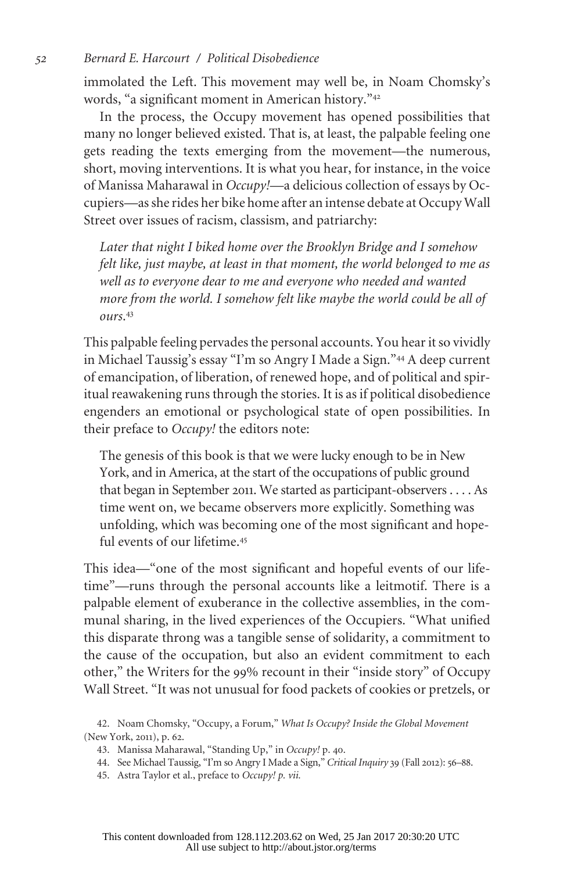immolated the Left. This movement may well be, in Noam Chomsky's words, "a significant moment in American history."<sup>42</sup>

In the process, the Occupy movement has opened possibilities that many no longer believed existed. That is, at least, the palpable feeling one gets reading the texts emerging from the movement—the numerous, short, moving interventions. It is what you hear, for instance, in the voice of Manissa Maharawal in *Occupy!*—a delicious collection of essays by Occupiers—as she rides her bike home after an intense debate at Occupy Wall Street over issues of racism, classism, and patriarchy:

*Later that night I biked home over the Brooklyn Bridge and I somehow felt like, just maybe, at least in that moment, the world belonged to me as well as to everyone dear to me and everyone who needed and wanted more from the world. I somehow felt like maybe the world could be all of ours*. 43

This palpable feeling pervades the personal accounts. You hear it so vividly in Michael Taussig's essay "I'm so Angry I Made a Sign."<sup>44</sup> A deep current of emancipation, of liberation, of renewed hope, and of political and spiritual reawakening runs through the stories. It is as if political disobedience engenders an emotional or psychological state of open possibilities. In their preface to *Occupy!* the editors note:

The genesis of this book is that we were lucky enough to be in New York, and in America, at the start of the occupations of public ground that began in September 2011. We started as participant-observers . . . . As time went on, we became observers more explicitly. Something was unfolding, which was becoming one of the most significant and hopeful events of our lifetime.<sup>45</sup>

This idea—"one of the most significant and hopeful events of our lifetime"—runs through the personal accounts like a leitmotif. There is a palpable element of exuberance in the collective assemblies, in the communal sharing, in the lived experiences of the Occupiers. "What unified this disparate throng was a tangible sense of solidarity, a commitment to the cause of the occupation, but also an evident commitment to each other," the Writers for the 99% recount in their "inside story" of Occupy Wall Street. "It was not unusual for food packets of cookies or pretzels, or

- 43. Manissa Maharawal, "Standing Up," in *Occupy!* p. 40.
- 44. See Michael Taussig, "I'm so Angry I Made a Sign," *Critical Inquiry* 39 (Fall 2012): 56–88.
- 45. Astra Taylor et al., preface to *Occupy! p. vii.*

<sup>42.</sup> Noam Chomsky, "Occupy, a Forum," *What Is Occupy? Inside the Global Movement* (New York, 2011), p. 62.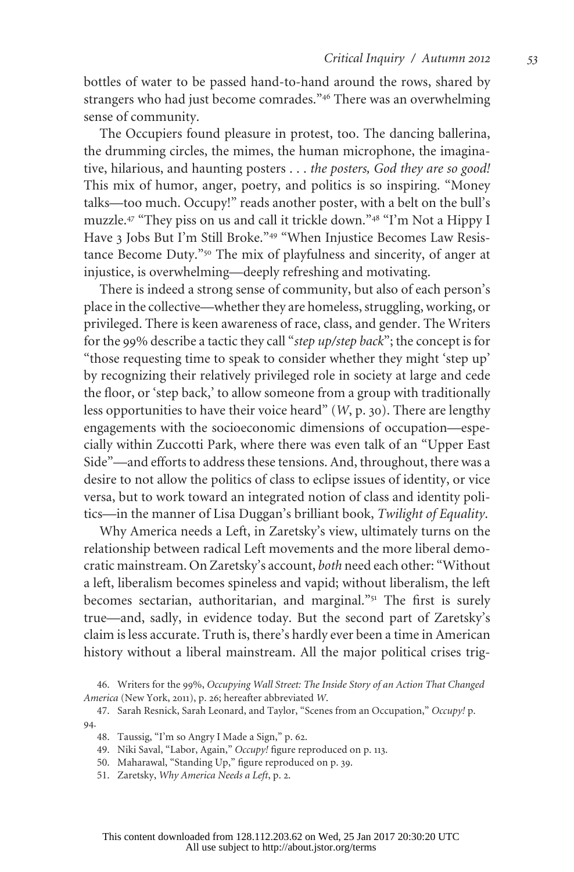bottles of water to be passed hand-to-hand around the rows, shared by strangers who had just become comrades."<sup>46</sup> There was an overwhelming sense of community.

The Occupiers found pleasure in protest, too. The dancing ballerina, the drumming circles, the mimes, the human microphone, the imaginative, hilarious, and haunting posters... *the posters, God they are so good!* This mix of humor, anger, poetry, and politics is so inspiring. "Money talks—too much. Occupy!" reads another poster, with a belt on the bull's muzzle.<sup>47</sup> "They piss on us and call it trickle down."<sup>48</sup> "I'm Not a Hippy I Have 3 Jobs But I'm Still Broke."<sup>49</sup> "When Injustice Becomes Law Resistance Become Duty."<sup>50</sup> The mix of playfulness and sincerity, of anger at injustice, is overwhelming—deeply refreshing and motivating.

There is indeed a strong sense of community, but also of each person's place in the collective—whether they are homeless, struggling, working, or privileged. There is keen awareness of race, class, and gender. The Writers for the 99% describe a tactic they call "*step up/step back*"; the concept is for "those requesting time to speak to consider whether they might 'step up' by recognizing their relatively privileged role in society at large and cede the floor, or 'step back,' to allow someone from a group with traditionally less opportunities to have their voice heard" (*W*, p. 30). There are lengthy engagements with the socioeconomic dimensions of occupation—especially within Zuccotti Park, where there was even talk of an "Upper East Side"—and efforts to address these tensions. And, throughout, there was a desire to not allow the politics of class to eclipse issues of identity, or vice versa, but to work toward an integrated notion of class and identity politics—in the manner of Lisa Duggan's brilliant book, *Twilight of Equality*.

Why America needs a Left, in Zaretsky's view, ultimately turns on the relationship between radical Left movements and the more liberal democratic mainstream. On Zaretsky's account, *both* need each other: "Without a left, liberalism becomes spineless and vapid; without liberalism, the left becomes sectarian, authoritarian, and marginal."<sup>51</sup> The first is surely true—and, sadly, in evidence today. But the second part of Zaretsky's claim is less accurate. Truth is, there's hardly ever been a time in American history without a liberal mainstream. All the major political crises trig-

94.

- 49. Niki Saval, "Labor, Again," *Occupy!* figure reproduced on p. 113.
- 50. Maharawal, "Standing Up," figure reproduced on p. 39.
- 51. Zaretsky, *Why America Needs a Left*, p. 2.

<sup>46.</sup> Writers for the 99%, *Occupying Wall Street: The Inside Story of an Action That Changed America* (New York, 2011), p. 26; hereafter abbreviated *W*.

<sup>47.</sup> Sarah Resnick, Sarah Leonard, and Taylor, "Scenes from an Occupation," *Occupy!* p.

<sup>48.</sup> Taussig, "I'm so Angry I Made a Sign," p. 62.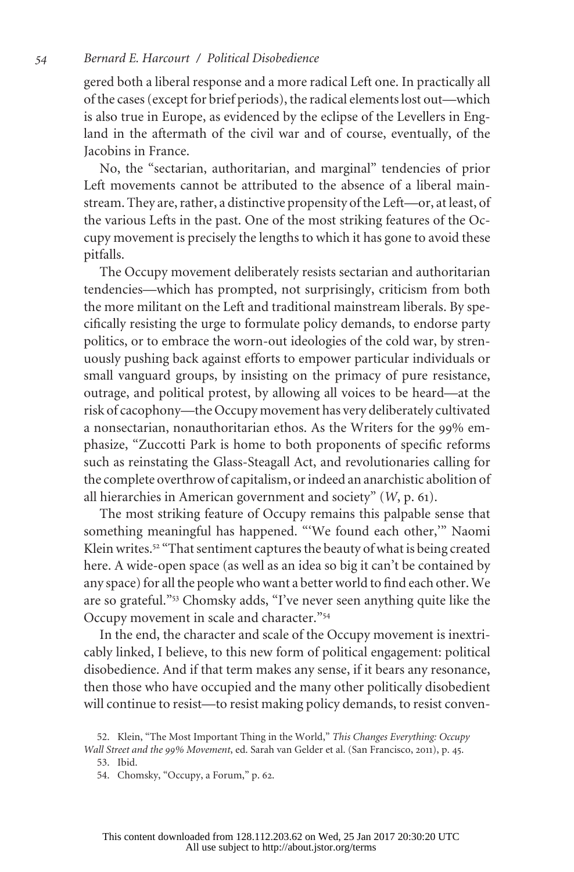gered both a liberal response and a more radical Left one. In practically all of the cases (except for brief periods), the radical elements lost out—which is also true in Europe, as evidenced by the eclipse of the Levellers in England in the aftermath of the civil war and of course, eventually, of the Jacobins in France.

No, the "sectarian, authoritarian, and marginal" tendencies of prior Left movements cannot be attributed to the absence of a liberal mainstream. They are, rather, a distinctive propensity of the Left—or, at least, of the various Lefts in the past. One of the most striking features of the Occupy movement is precisely the lengths to which it has gone to avoid these pitfalls.

The Occupy movement deliberately resists sectarian and authoritarian tendencies—which has prompted, not surprisingly, criticism from both the more militant on the Left and traditional mainstream liberals. By specifically resisting the urge to formulate policy demands, to endorse party politics, or to embrace the worn-out ideologies of the cold war, by strenuously pushing back against efforts to empower particular individuals or small vanguard groups, by insisting on the primacy of pure resistance, outrage, and political protest, by allowing all voices to be heard—at the risk of cacophony—the Occupy movement has very deliberately cultivated a nonsectarian, nonauthoritarian ethos. As the Writers for the 99% emphasize, "Zuccotti Park is home to both proponents of specific reforms such as reinstating the Glass-Steagall Act, and revolutionaries calling for the complete overthrow of capitalism, or indeed an anarchistic abolition of all hierarchies in American government and society" (*W*, p. 61).

The most striking feature of Occupy remains this palpable sense that something meaningful has happened. "'We found each other,'" Naomi Klein writes.<sup>52</sup> "That sentiment captures the beauty of what is being created here. A wide-open space (as well as an idea so big it can't be contained by any space) for all the people who want a better world to find each other. We are so grateful."<sup>53</sup> Chomsky adds, "I've never seen anything quite like the Occupy movement in scale and character."<sup>54</sup>

In the end, the character and scale of the Occupy movement is inextricably linked, I believe, to this new form of political engagement: political disobedience. And if that term makes any sense, if it bears any resonance, then those who have occupied and the many other politically disobedient will continue to resist—to resist making policy demands, to resist conven-

<sup>52.</sup> Klein, "The Most Important Thing in the World," *This Changes Everything: Occupy Wall Street and the 99% Movement*, ed. Sarah van Gelder et al. (San Francisco, 2011), p. 45.

<sup>53.</sup> Ibid.

<sup>54.</sup> Chomsky, "Occupy, a Forum," p. 62.